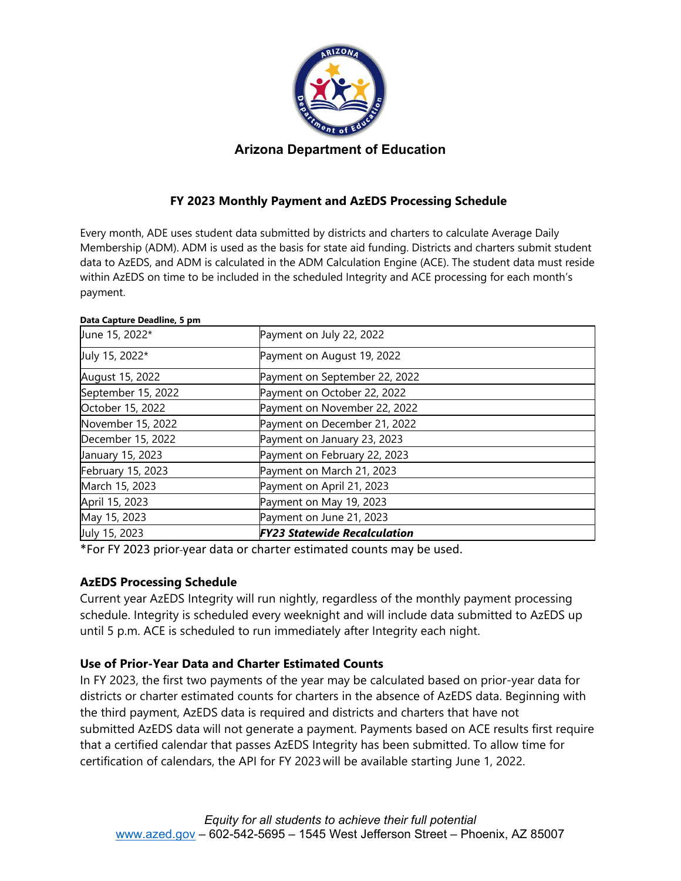

# **Arizona Department of Education**

# **FY 2023 Monthly Payment and AzEDS Processing Schedule**

Every month, ADE uses student data submitted by districts and charters to calculate Average Daily Membership (ADM). ADM is used as the basis for state aid funding. Districts and charters submit student data to AzEDS, and ADM is calculated in the ADM Calculation Engine (ACE). The student data must reside within AzEDS on time to be included in the scheduled Integrity and ACE processing for each month's payment.

#### **Data Capture Deadline, 5 pm**

| June 15, 2022*     | Payment on July 22, 2022            |
|--------------------|-------------------------------------|
| July 15, 2022*     | Payment on August 19, 2022          |
| August 15, 2022    | Payment on September 22, 2022       |
| September 15, 2022 | Payment on October 22, 2022         |
| October 15, 2022   | Payment on November 22, 2022        |
| November 15, 2022  | Payment on December 21, 2022        |
| December 15, 2022  | Payment on January 23, 2023         |
| January 15, 2023   | Payment on February 22, 2023        |
| February 15, 2023  | Payment on March 21, 2023           |
| March 15, 2023     | Payment on April 21, 2023           |
| April 15, 2023     | Payment on May 19, 2023             |
| May 15, 2023       | Payment on June 21, 2023            |
| July 15, 2023      | <b>FY23 Statewide Recalculation</b> |

\*For FY 2023 prior year data or charter estimated counts may be used.

## **AzEDS Processing Schedule**

Current year AzEDS Integrity will run nightly, regardless of the monthly payment processing schedule. Integrity is scheduled every weeknight and will include data submitted to AzEDS up until 5 p.m. ACE is scheduled to run immediately after Integrity each night.

## **Use of Prior-Year Data and Charter Estimated Counts**

In FY 2023, the first two payments of the year may be calculated based on prior-year data for districts or charter estimated counts for charters in the absence of AzEDS data. Beginning with the third payment, AzEDS data is required and districts and charters that have not submitted AzEDS data will not generate a payment. Payments based on ACE results first require that a certified calendar that passes AzEDS Integrity has been submitted. To allow time for certification of calendars, the API for FY 2023 will be available starting June 1, 2022.